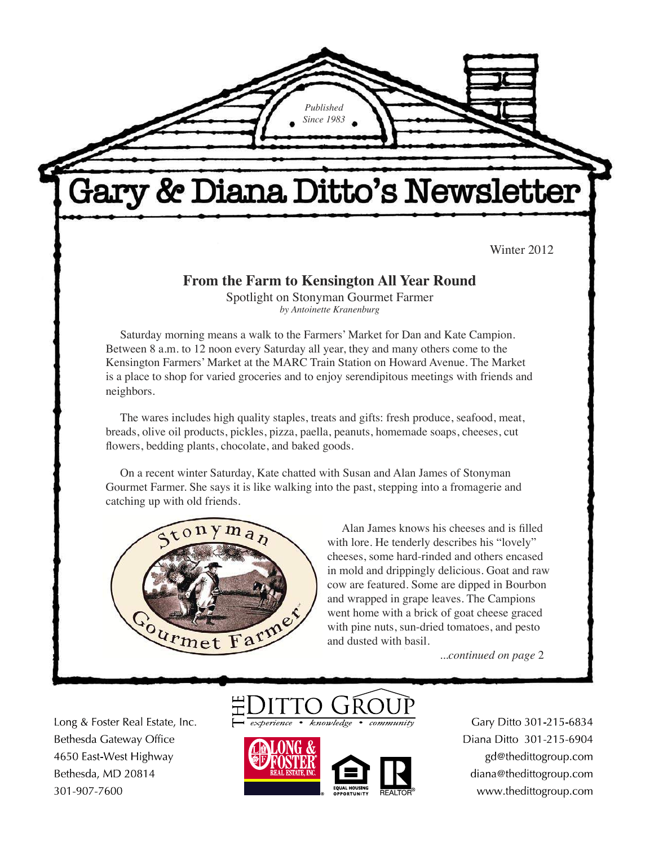Gary & Diana Ditto's Newsletter

*Published Since 1983*

Winter 2012

#### **From the Farm to Kensington All Year Round**

Spotlight on Stonyman Gourmet Farmer *by Antoinette Kranenburg*

Saturday morning means a walk to the Farmers' Market for Dan and Kate Campion. Between 8 a.m. to 12 noon every Saturday all year, they and many others come to the Kensington Farmers' Market at the MARC Train Station on Howard Avenue. The Market is a place to shop for varied groceries and to enjoy serendipitous meetings with friends and neighbors.

The wares includes high quality staples, treats and gifts: fresh produce, seafood, meat, breads, olive oil products, pickles, pizza, paella, peanuts, homemade soaps, cheeses, cut flowers, bedding plants, chocolate, and baked goods.

On a recent winter Saturday, Kate chatted with Susan and Alan James of Stonyman Gourmet Farmer. She says it is like walking into the past, stepping into a fromagerie and catching up with old friends.



Alan James knows his cheeses and is filled with lore. He tenderly describes his "lovely" cheeses, some hard-rinded and others encased in mold and drippingly delicious. Goat and raw cow are featured. Some are dipped in Bourbon and wrapped in grape leaves. The Campions went home with a brick of goat cheese graced with pine nuts, sun-dried tomatoes, and pesto and dusted with basil.

...*continued on page* 2

Long & Foster Real Estate, Inc. Bethesda Gateway Office 4650 East-West Highway Bethesda, MD 20814 301-907-7600





Gary Ditto 301-215-6834 Diana Ditto 301-215-6904 gd@thedittogroup.com diana@thedittogroup.com www.thedittogroup.com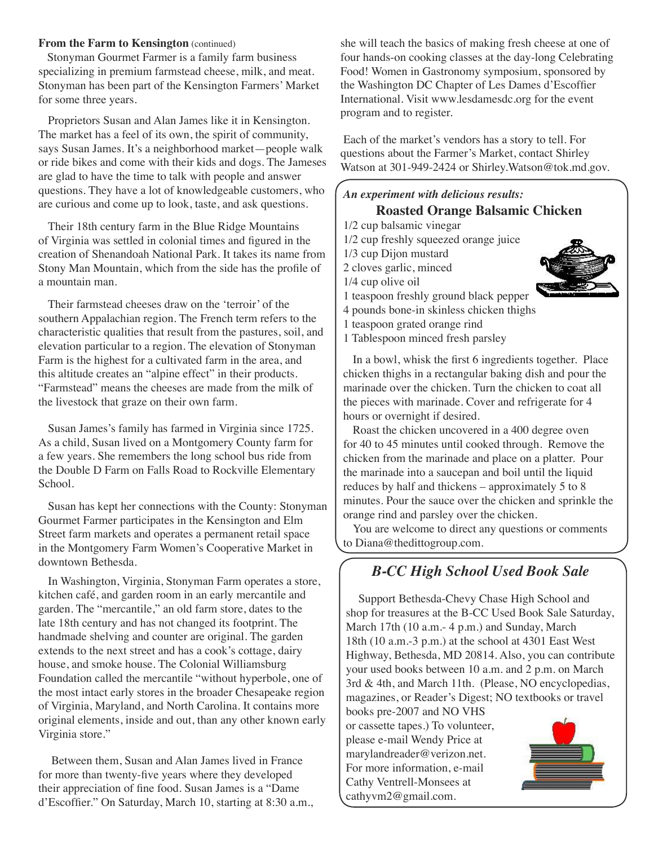#### **From the Farm to Kensington** (continued)

 Stonyman Gourmet Farmer is a family farm business specializing in premium farmstead cheese, milk, and meat. Stonyman has been part of the Kensington Farmers' Market for some three years.

Proprietors Susan and Alan James like it in Kensington. The market has a feel of its own, the spirit of community, says Susan James. It's a neighborhood market—people walk or ride bikes and come with their kids and dogs. The Jameses are glad to have the time to talk with people and answer questions. They have a lot of knowledgeable customers, who are curious and come up to look, taste, and ask questions.

Their 18th century farm in the Blue Ridge Mountains of Virginia was settled in colonial times and figured in the creation of Shenandoah National Park. It takes its name from Stony Man Mountain, which from the side has the profile of a mountain man.

Their farmstead cheeses draw on the 'terroir' of the southern Appalachian region. The French term refers to the characteristic qualities that result from the pastures, soil, and elevation particular to a region. The elevation of Stonyman Farm is the highest for a cultivated farm in the area, and this altitude creates an "alpine effect" in their products. "Farmstead" means the cheeses are made from the milk of the livestock that graze on their own farm.

Susan James's family has farmed in Virginia since 1725. As a child, Susan lived on a Montgomery County farm for a few years. She remembers the long school bus ride from the Double D Farm on Falls Road to Rockville Elementary School.

Susan has kept her connections with the County: Stonyman Gourmet Farmer participates in the Kensington and Elm Street farm markets and operates a permanent retail space in the Montgomery Farm Women's Cooperative Market in downtown Bethesda.

In Washington, Virginia, Stonyman Farm operates a store, kitchen café, and garden room in an early mercantile and garden. The "mercantile," an old farm store, dates to the late 18th century and has not changed its footprint. The handmade shelving and counter are original. The garden extends to the next street and has a cook's cottage, dairy house, and smoke house. The Colonial Williamsburg Foundation called the mercantile "without hyperbole, one of the most intact early stores in the broader Chesapeake region of Virginia, Maryland, and North Carolina. It contains more original elements, inside and out, than any other known early Virginia store."

Between them, Susan and Alan James lived in France for more than twenty-five years where they developed their appreciation of fine food. Susan James is a "Dame d'Escoffier." On Saturday, March 10, starting at 8:30 a.m., she will teach the basics of making fresh cheese at one of four hands-on cooking classes at the day-long Celebrating Food! Women in Gastronomy symposium, sponsored by the Washington DC Chapter of Les Dames d'Escoffier International. Visit www.lesdamesdc.org for the event program and to register.

 Each of the market's vendors has a story to tell. For questions about the Farmer's Market, contact Shirley Watson at 301-949-2424 or Shirley.Watson@tok.md.gov.

#### *An experiment with delicious results:* **Roasted Orange Balsamic Chicken**

1/2 cup balsamic vinegar 1/2 cup freshly squeezed orange juice 1/3 cup Dijon mustard 2 cloves garlic, minced 1/4 cup olive oil 1 teaspoon freshly ground black pepper 4 pounds bone-in skinless chicken thighs 1 teaspoon grated orange rind

1 Tablespoon minced fresh parsley

In a bowl, whisk the first 6 ingredients together. Place chicken thighs in a rectangular baking dish and pour the marinade over the chicken. Turn the chicken to coat all the pieces with marinade. Cover and refrigerate for 4 hours or overnight if desired.

Roast the chicken uncovered in a 400 degree oven for 40 to 45 minutes until cooked through. Remove the chicken from the marinade and place on a platter. Pour the marinade into a saucepan and boil until the liquid reduces by half and thickens – approximately 5 to 8 minutes. Pour the sauce over the chicken and sprinkle the orange rind and parsley over the chicken.

You are welcome to direct any questions or comments to Diana@thedittogroup.com.

## *B-CC High School Used Book Sale*

 Support Bethesda-Chevy Chase High School and shop for treasures at the B-CC Used Book Sale Saturday, March 17th (10 a.m.- 4 p.m.) and Sunday, March 18th (10 a.m.-3 p.m.) at the school at 4301 East West Highway, Bethesda, MD 20814. Also, you can contribute your used books between 10 a.m. and 2 p.m. on March 3rd & 4th, and March 11th. (Please, NO encyclopedias, magazines, or Reader's Digest; NO textbooks or travel

books pre-2007 and NO VHS or cassette tapes.) To volunteer, please e-mail Wendy Price at marylandreader@verizon.net. For more information, e-mail Cathy Ventrell-Monsees at cathyvm2@gmail.com.

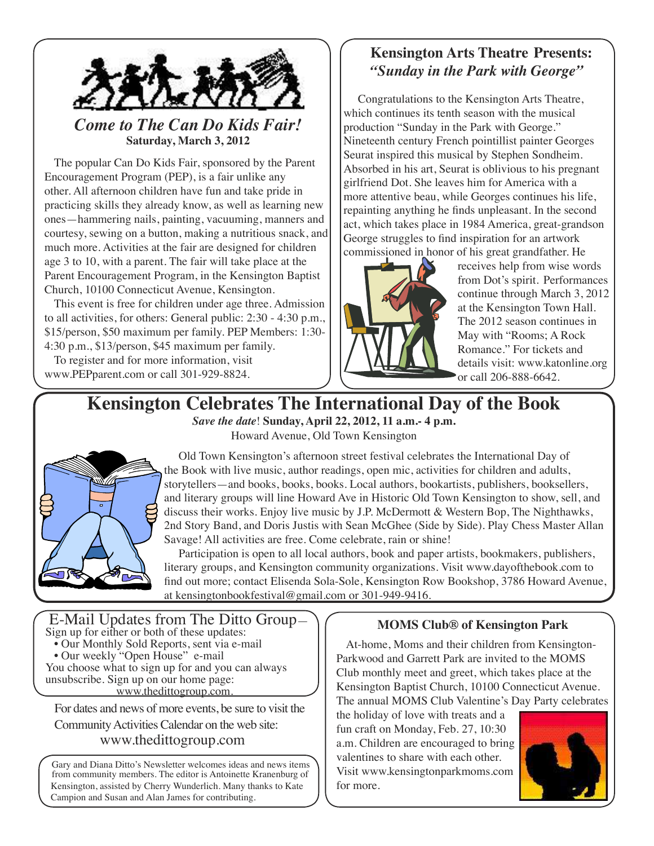

## *Come to The Can Do Kids Fair!* **Saturday, March 3, 2012**

The popular Can Do Kids Fair, sponsored by the Parent Encouragement Program (PEP), is a fair unlike any other. All afternoon children have fun and take pride in practicing skills they already know, as well as learning new ones—hammering nails, painting, vacuuming, manners and courtesy, sewing on a button, making a nutritious snack, and much more. Activities at the fair are designed for children age 3 to 10, with a parent. The fair will take place at the Parent Encouragement Program, in the Kensington Baptist Church, 10100 Connecticut Avenue, Kensington.

This event is free for children under age three. Admission to all activities, for others: General public: 2:30 - 4:30 p.m., \$15/person, \$50 maximum per family. PEP Members: 1:30- 4:30 p.m., \$13/person, \$45 maximum per family.

To register and for more information, visit www.PEPparent.com or call 301-929-8824.

## **Kensington Arts Theatre Presents:** *"Sunday in the Park with George"*

Congratulations to the Kensington Arts Theatre, which continues its tenth season with the musical production "Sunday in the Park with George." Nineteenth century French pointillist painter Georges Seurat inspired this musical by Stephen Sondheim. Absorbed in his art, Seurat is oblivious to his pregnant girlfriend Dot. She leaves him for America with a more attentive beau, while Georges continues his life, repainting anything he finds unpleasant. In the second act, which takes place in 1984 America, great-grandson George struggles to find inspiration for an artwork commissioned in honor of his great grandfather. He



receives help from wise words from Dot's spirit. Performances continue through March 3, 2012 at the Kensington Town Hall. The 2012 season continues in May with "Rooms; A Rock Romance." For tickets and details visit: www.katonline.org or call 206-888-6642.

# **Kensington Celebrates The International Day of the Book**

*Save the date*! **Sunday, April 22, 2012, 11 a.m.- 4 p.m.** Howard Avenue, Old Town Kensington



Old Town Kensington's afternoon street festival celebrates the International Day of the Book with live music, author readings, open mic, activities for children and adults, storytellers—and books, books, books. Local authors, bookartists, publishers, booksellers, and literary groups will line Howard Ave in Historic Old Town Kensington to show, sell, and discuss their works. Enjoy live music by J.P. McDermott & Western Bop, The Nighthawks, 2nd Story Band, and Doris Justis with Sean McGhee (Side by Side). Play Chess Master Allan Savage! All activities are free. Come celebrate, rain or shine!

Participation is open to all local authors, book and paper artists, bookmakers, publishers, literary groups, and Kensington community organizations. Visit www.dayofthebook.com to find out more; contact Elisenda Sola-Sole, Kensington Row Bookshop, 3786 Howard Avenue, at kensingtonbookfestival@gmail.com or 301-949-9416.

 E-Mail Updates from The Ditto Group— Sign up for either or both of these updates: • Our Monthly Sold Reports, sent via e-mail • Our weekly "Open House" e-mail You choose what to sign up for and you can always unsubscribe. Sign up on our home page: www.thedittogroup.com.

For dates and news of more events, be sure to visit the Community Activities Calendar on the web site: www.thedittogroup.com

Gary and Diana Ditto's Newsletter welcomes ideas and news items from community members. The editor is Antoinette Kranenburg of Kensington, assisted by Cherry Wunderlich. Many thanks to Kate Campion and Susan and Alan James for contributing.

### **MOMS Club® of Kensington Park**

At-home, Moms and their children from Kensington-Parkwood and Garrett Park are invited to the MOMS Club monthly meet and greet, which takes place at the Kensington Baptist Church, 10100 Connecticut Avenue. The annual MOMS Club Valentine's Day Party celebrates

the holiday of love with treats and a fun craft on Monday, Feb. 27, 10:30 a.m. Children are encouraged to bring valentines to share with each other. Visit www.kensingtonparkmoms.com for more.